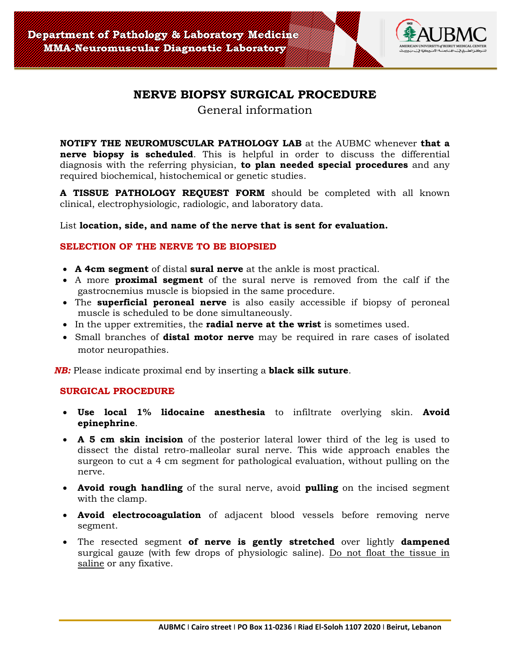

## **NERVE BIOPSY SURGICAL PROCEDURE**

General information

**NOTIFY THE NEUROMUSCULAR PATHOLOGY LAB** at the AUBMC whenever **that a nerve biopsy is scheduled**. This is helpful in order to discuss the differential diagnosis with the referring physician, **to plan needed special procedures** and any required biochemical, histochemical or genetic studies.

**A TISSUE PATHOLOGY REQUEST FORM** should be completed with all known clinical, electrophysiologic, radiologic, and laboratory data.

List **location, side, and name of the nerve that is sent for evaluation.**

## **SELECTION OF THE NERVE TO BE BIOPSIED**

- **A 4cm segment** of distal **sural nerve** at the ankle is most practical.
- A more **proximal segment** of the sural nerve is removed from the calf if the gastrocnemius muscle is biopsied in the same procedure.
- The **superficial peroneal nerve** is also easily accessible if biopsy of peroneal muscle is scheduled to be done simultaneously.
- In the upper extremities, the **radial nerve at the wrist** is sometimes used.
- Small branches of **distal motor nerve** may be required in rare cases of isolated motor neuropathies.

*NB:* Please indicate proximal end by inserting a **black silk suture**.

## **SURGICAL PROCEDURE**

- **Use local 1% lidocaine anesthesia** to infiltrate overlying skin. **Avoid epinephrine**.
- **A 5 cm skin incision** of the posterior lateral lower third of the leg is used to dissect the distal retro-malleolar sural nerve. This wide approach enables the surgeon to cut a 4 cm segment for pathological evaluation, without pulling on the nerve.
- **Avoid rough handling** of the sural nerve, avoid **pulling** on the incised segment with the clamp.
- **Avoid electrocoagulation** of adjacent blood vessels before removing nerve segment.
- The resected segment **of nerve is gently stretched** over lightly **dampened** surgical gauze (with few drops of physiologic saline). Do not float the tissue in saline or any fixative.